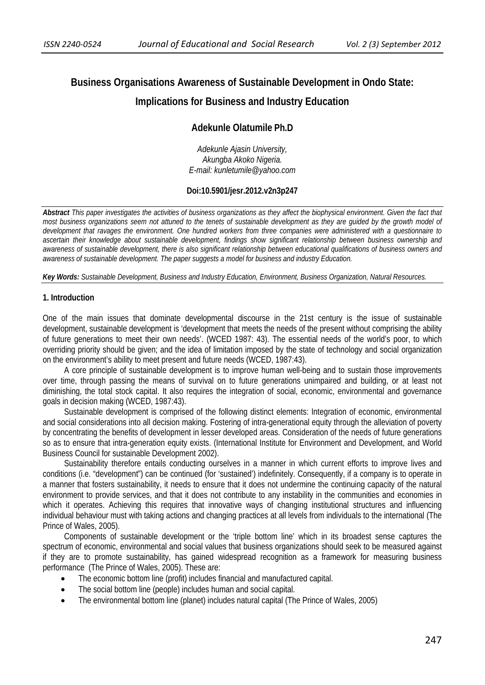# **Business Organisations Awareness of Sustainable Development in Ondo State: Implications for Business and Industry Education**

## **Adekunle Olatumile Ph.D**

*Adekunle Ajasin University, Akungba Akoko Nigeria. E-mail: kunletumile@yahoo.com* 

#### **Doi:10.5901/jesr.2012.v2n3p247**

*Abstract This paper investigates the activities of business organizations as they affect the biophysical environment. Given the fact that most business organizations seem not attuned to the tenets of sustainable development as they are guided by the growth model of development that ravages the environment. One hundred workers from three companies were administered with a questionnaire to ascertain their knowledge about sustainable development, findings show significant relationship between business ownership and awareness of sustainable development, there is also significant relationship between educational qualifications of business owners and awareness of sustainable development. The paper suggests a model for business and industry Education.*

*Key Words: Sustainable Development, Business and Industry Education, Environment, Business Organization, Natural Resources.* 

#### **1. Introduction**

One of the main issues that dominate developmental discourse in the 21st century is the issue of sustainable development, sustainable development is 'development that meets the needs of the present without comprising the ability of future generations to meet their own needs'. (WCED 1987: 43). The essential needs of the world's poor, to which overriding priority should be given; and the idea of limitation imposed by the state of technology and social organization on the environment's ability to meet present and future needs (WCED, 1987:43).

A core principle of sustainable development is to improve human well-being and to sustain those improvements over time, through passing the means of survival on to future generations unimpaired and building, or at least not diminishing, the total stock capital. It also requires the integration of social, economic, environmental and governance goals in decision making (WCED, 1987:43).

Sustainable development is comprised of the following distinct elements: Integration of economic, environmental and social considerations into all decision making. Fostering of intra-generational equity through the alleviation of poverty by concentrating the benefits of development in lesser developed areas. Consideration of the needs of future generations so as to ensure that intra-generation equity exists. (International Institute for Environment and Development, and World Business Council for sustainable Development 2002).

Sustainability therefore entails conducting ourselves in a manner in which current efforts to improve lives and conditions (i.e. "development") can be continued (for 'sustained') indefinitely. Consequently, if a company is to operate in a manner that fosters sustainability, it needs to ensure that it does not undermine the continuing capacity of the natural environment to provide services, and that it does not contribute to any instability in the communities and economies in which it operates. Achieving this requires that innovative ways of changing institutional structures and influencing individual behaviour must with taking actions and changing practices at all levels from individuals to the international (The Prince of Wales, 2005).

Components of sustainable development or the 'triple bottom line' which in its broadest sense captures the spectrum of economic, environmental and social values that business organizations should seek to be measured against if they are to promote sustainability, has gained widespread recognition as a framework for measuring business performance (The Prince of Wales, 2005). These are:

- The economic bottom line (profit) includes financial and manufactured capital.
- The social bottom line (people) includes human and social capital.
- The environmental bottom line (planet) includes natural capital (The Prince of Wales, 2005)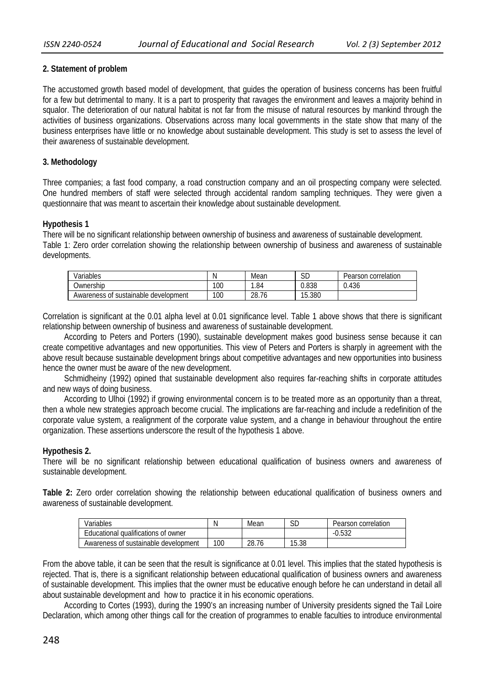## **2. Statement of problem**

The accustomed growth based model of development, that guides the operation of business concerns has been fruitful for a few but detrimental to many. It is a part to prosperity that ravages the environment and leaves a majority behind in squalor. The deterioration of our natural habitat is not far from the misuse of natural resources by mankind through the activities of business organizations. Observations across many local governments in the state show that many of the business enterprises have little or no knowledge about sustainable development. This study is set to assess the level of their awareness of sustainable development.

## **3. Methodology**

Three companies; a fast food company, a road construction company and an oil prospecting company were selected. One hundred members of staff were selected through accidental random sampling techniques. They were given a questionnaire that was meant to ascertain their knowledge about sustainable development.

## **Hypothesis 1**

There will be no significant relationship between ownership of business and awareness of sustainable development. Table 1: Zero order correlation showing the relationship between ownership of business and awareness of sustainable developments.

| /ariables                                    | N   | Mean                                    | $\sim$ $\sim$<br>ىن | correlation<br>Pearson |
|----------------------------------------------|-----|-----------------------------------------|---------------------|------------------------|
| Ownership                                    | 100 | . 84                                    | 0.838               | 0.436                  |
| : sustainable<br>development<br>Awareness of | 100 | $\overline{\phantom{a}}$<br>າຂ<br>28.76 | 15.380              |                        |

Correlation is significant at the 0.01 alpha level at 0.01 significance level. Table 1 above shows that there is significant relationship between ownership of business and awareness of sustainable development.

According to Peters and Porters (1990), sustainable development makes good business sense because it can create competitive advantages and new opportunities. This view of Peters and Porters is sharply in agreement with the above result because sustainable development brings about competitive advantages and new opportunities into business hence the owner must be aware of the new development.

Schmidheiny (1992) opined that sustainable development also requires far-reaching shifts in corporate attitudes and new ways of doing business.

According to Ulhoi (1992) if growing environmental concern is to be treated more as an opportunity than a threat, then a whole new strategies approach become crucial. The implications are far-reaching and include a redefinition of the corporate value system, a realignment of the corporate value system, and a change in behaviour throughout the entire organization. These assertions underscore the result of the hypothesis 1 above.

## **Hypothesis 2.**

There will be no significant relationship between educational qualification of business owners and awareness of sustainable development.

**Table 2:** Zero order correlation showing the relationship between educational qualification of business owners and awareness of sustainable development.

| Variables                              | N   | Mean  | JΡ    | Pearson correlation |
|----------------------------------------|-----|-------|-------|---------------------|
| qualifications of owner<br>Educational |     |       |       | -∪.ງວ∠              |
| Awareness of sustainable development   | 100 | 28.76 | 15.38 |                     |

From the above table, it can be seen that the result is significance at 0.01 level. This implies that the stated hypothesis is rejected. That is, there is a significant relationship between educational qualification of business owners and awareness of sustainable development. This implies that the owner must be educative enough before he can understand in detail all about sustainable development and how to practice it in his economic operations.

According to Cortes (1993), during the 1990's an increasing number of University presidents signed the Tail Loire Declaration, which among other things call for the creation of programmes to enable faculties to introduce environmental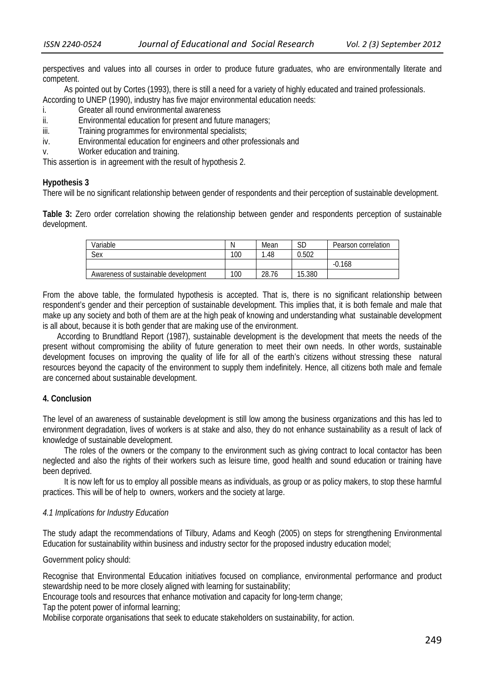perspectives and values into all courses in order to produce future graduates, who are environmentally literate and competent.

As pointed out by Cortes (1993), there is still a need for a variety of highly educated and trained professionals. According to UNEP (1990), industry has five major environmental education needs:

- i. Greater all round environmental awareness
- ii. Environmental education for present and future managers;
- iii. Training programmes for environmental specialists;
- iv. Environmental education for engineers and other professionals and
- v. Worker education and training.

This assertion is in agreement with the result of hypothesis 2.

#### **Hypothesis 3**

There will be no significant relationship between gender of respondents and their perception of sustainable development.

**Table 3:** Zero order correlation showing the relationship between gender and respondents perception of sustainable development.

| Variable                             | N   | Mean  | rг<br>שכ | Pearson correlation |
|--------------------------------------|-----|-------|----------|---------------------|
| Sex                                  | 100 | .48   | 0.502    |                     |
|                                      |     |       |          | .168                |
| Awareness of sustainable development | 100 | 28.76 | 15.380   |                     |

From the above table, the formulated hypothesis is accepted. That is, there is no significant relationship between respondent's gender and their perception of sustainable development. This implies that, it is both female and male that make up any society and both of them are at the high peak of knowing and understanding what sustainable development is all about, because it is both gender that are making use of the environment.

 According to Brundtland Report (1987), sustainable development is the development that meets the needs of the present without compromising the ability of future generation to meet their own needs. In other words, sustainable development focuses on improving the quality of life for all of the earth's citizens without stressing these natural resources beyond the capacity of the environment to supply them indefinitely. Hence, all citizens both male and female are concerned about sustainable development.

## **4. Conclusion**

The level of an awareness of sustainable development is still low among the business organizations and this has led to environment degradation, lives of workers is at stake and also, they do not enhance sustainability as a result of lack of knowledge of sustainable development.

The roles of the owners or the company to the environment such as giving contract to local contactor has been neglected and also the rights of their workers such as leisure time, good health and sound education or training have been deprived.

It is now left for us to employ all possible means as individuals, as group or as policy makers, to stop these harmful practices. This will be of help to owners, workers and the society at large.

#### *4.1 Implications for Industry Education*

The study adapt the recommendations of Tilbury, Adams and Keogh (2005) on steps for strengthening Environmental Education for sustainability within business and industry sector for the proposed industry education model;

Government policy should:

Recognise that Environmental Education initiatives focused on compliance, environmental performance and product stewardship need to be more closely aligned with learning for sustainability;

Encourage tools and resources that enhance motivation and capacity for long-term change;

Tap the potent power of informal learning;

Mobilise corporate organisations that seek to educate stakeholders on sustainability, for action.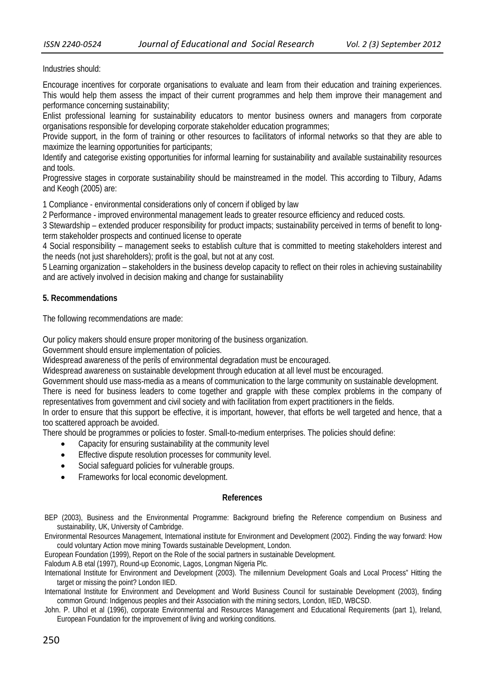Industries should:

Encourage incentives for corporate organisations to evaluate and learn from their education and training experiences. This would help them assess the impact of their current programmes and help them improve their management and performance concerning sustainability;

Enlist professional learning for sustainability educators to mentor business owners and managers from corporate organisations responsible for developing corporate stakeholder education programmes;

Provide support, in the form of training or other resources to facilitators of informal networks so that they are able to maximize the learning opportunities for participants;

Identify and categorise existing opportunities for informal learning for sustainability and available sustainability resources and tools.

Progressive stages in corporate sustainability should be mainstreamed in the model. This according to Tilbury, Adams and Keogh (2005) are:

1 Compliance - environmental considerations only of concern if obliged by law

2 Performance - improved environmental management leads to greater resource efficiency and reduced costs.

3 Stewardship – extended producer responsibility for product impacts; sustainability perceived in terms of benefit to longterm stakeholder prospects and continued license to operate

4 Social responsibility – management seeks to establish culture that is committed to meeting stakeholders interest and the needs (not just shareholders); profit is the goal, but not at any cost.

5 Learning organization – stakeholders in the business develop capacity to reflect on their roles in achieving sustainability and are actively involved in decision making and change for sustainability

#### **5. Recommendations**

The following recommendations are made:

Our policy makers should ensure proper monitoring of the business organization.

Government should ensure implementation of policies.

Widespread awareness of the perils of environmental degradation must be encouraged.

Widespread awareness on sustainable development through education at all level must be encouraged.

Government should use mass-media as a means of communication to the large community on sustainable development. There is need for business leaders to come together and grapple with these complex problems in the company of

representatives from government and civil society and with facilitation from expert practitioners in the fields.

In order to ensure that this support be effective, it is important, however, that efforts be well targeted and hence, that a too scattered approach be avoided.

There should be programmes or policies to foster. Small-to-medium enterprises. The policies should define:

- Capacity for ensuring sustainability at the community level
- Effective dispute resolution processes for community level.
- Social safeguard policies for vulnerable groups.
- Frameworks for local economic development.

#### **References**

 BEP (2003), Business and the Environmental Programme: Background briefing the Reference compendium on Business and sustainability, UK, University of Cambridge.

 Environmental Resources Management, International institute for Environment and Development (2002). Finding the way forward: How could voluntary Action move mining Towards sustainable Development, London.

European Foundation (1999), Report on the Role of the social partners in sustainable Development.

Falodum A.B etal (1997), Round-up Economic, Lagos, Longman Nigeria Plc.

 International Institute for Environment and Development (2003). The millennium Development Goals and Local Process" Hitting the target or missing the point? London IIED.

 International Institute for Environment and Development and World Business Council for sustainable Development (2003), finding common Ground: Indigenous peoples and their Association with the mining sectors, London, IIED, WBCSD.

 John. P. Ulhol et al (1996), corporate Environmental and Resources Management and Educational Requirements (part 1), Ireland, European Foundation for the improvement of living and working conditions.